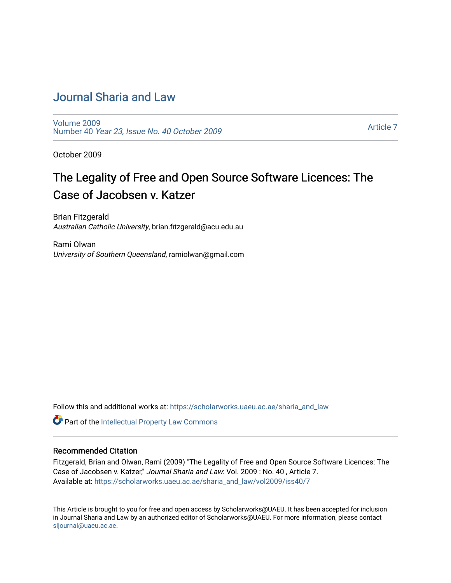# [Journal Sharia and Law](https://scholarworks.uaeu.ac.ae/sharia_and_law)

[Volume 2009](https://scholarworks.uaeu.ac.ae/sharia_and_law/vol2009)  Number 40 [Year 23, Issue No. 40 October 2009](https://scholarworks.uaeu.ac.ae/sharia_and_law/vol2009/iss40) 

[Article 7](https://scholarworks.uaeu.ac.ae/sharia_and_law/vol2009/iss40/7) 

October 2009

# The Legality of Free and Open Source Software Licences: The Case of Jacobsen v. Katzer

Brian Fitzgerald Australian Catholic University, brian.fitzgerald@acu.edu.au

Rami Olwan University of Southern Queensland, ramiolwan@gmail.com

Follow this and additional works at: [https://scholarworks.uaeu.ac.ae/sharia\\_and\\_law](https://scholarworks.uaeu.ac.ae/sharia_and_law?utm_source=scholarworks.uaeu.ac.ae%2Fsharia_and_law%2Fvol2009%2Fiss40%2F7&utm_medium=PDF&utm_campaign=PDFCoverPages) 

Part of the [Intellectual Property Law Commons](http://network.bepress.com/hgg/discipline/896?utm_source=scholarworks.uaeu.ac.ae%2Fsharia_and_law%2Fvol2009%2Fiss40%2F7&utm_medium=PDF&utm_campaign=PDFCoverPages) 

#### Recommended Citation

Fitzgerald, Brian and Olwan, Rami (2009) "The Legality of Free and Open Source Software Licences: The Case of Jacobsen v. Katzer," Journal Sharia and Law: Vol. 2009 : No. 40 , Article 7. Available at: [https://scholarworks.uaeu.ac.ae/sharia\\_and\\_law/vol2009/iss40/7](https://scholarworks.uaeu.ac.ae/sharia_and_law/vol2009/iss40/7?utm_source=scholarworks.uaeu.ac.ae%2Fsharia_and_law%2Fvol2009%2Fiss40%2F7&utm_medium=PDF&utm_campaign=PDFCoverPages)

This Article is brought to you for free and open access by Scholarworks@UAEU. It has been accepted for inclusion in Journal Sharia and Law by an authorized editor of Scholarworks@UAEU. For more information, please contact [sljournal@uaeu.ac.ae.](mailto:sljournal@uaeu.ac.ae)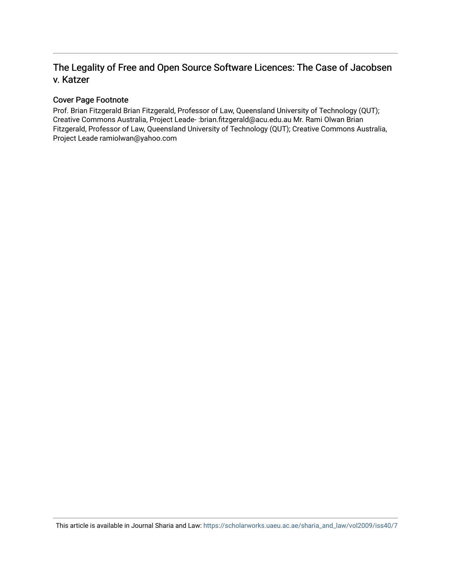## The Legality of Free and Open Source Software Licences: The Case of Jacobsen v. Katzer

#### Cover Page Footnote

Prof. Brian Fitzgerald Brian Fitzgerald, Professor of Law, Queensland University of Technology (QUT); Creative Commons Australia, Project Leade- :brian.fitzgerald@acu.edu.au Mr. Rami Olwan Brian Fitzgerald, Professor of Law, Queensland University of Technology (QUT); Creative Commons Australia, Project Leade ramiolwan@yahoo.com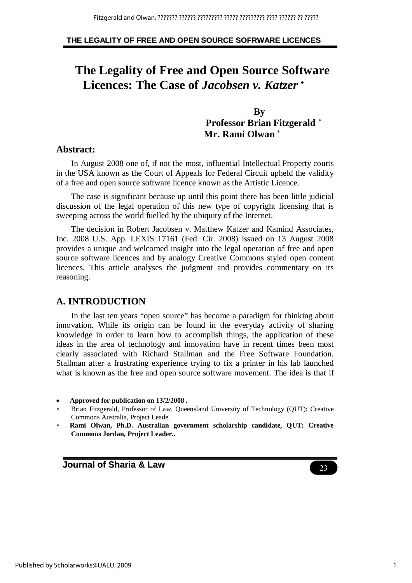# **The Legality of Free and Open Source Software Licences: The Case of** *Jacobsen v. Katzer* •

 **By Professor Brian Fitzgerald** <sup>∗</sup>  **Mr. Rami Olwan** <sup>∗</sup> 

## **Abstract:**

In August 2008 one of, if not the most, influential Intellectual Property courts in the USA known as the Court of Appeals for Federal Circuit upheld the validity of a free and open source software licence known as the Artistic Licence.

The case is significant because up until this point there has been little judicial discussion of the legal operation of this new type of copyright licensing that is sweeping across the world fuelled by the ubiquity of the Internet.

The decision in Robert Jacobsen v. Matthew Katzer and Kamind Associates, Inc. 2008 U.S. App. LEXIS 17161 (Fed. Cir. 2008) issued on 13 August 2008 provides a unique and welcomed insight into the legal operation of free and open source software licences and by analogy Creative Commons styled open content licences. This article analyses the judgment and provides commentary on its reasoning.

#### **A. INTRODUCTION**

In the last ten years "open source" has become a paradigm for thinking about innovation. While its origin can be found in the everyday activity of sharing knowledge in order to learn how to accomplish things, the application of these ideas in the area of technology and innovation have in recent times been most clearly associated with Richard Stallman and the Free Software Foundation. Stallman after a frustrating experience trying to fix a printer in his lab launched what is known as the free and open source software movement. The idea is that if

l

**Journal of Sharia & Law**

<sup>•</sup> **Approved for publication on 13/2/2008** .

Brian Fitzgerald, Professor of Law, Queensland University of Technology (QUT); Creative Commons Australia, Project Leade.

<sup>∗</sup> **Rami Olwan, Ph.D. Australian government scholarship candidate, QUT; Creative Commons Jordan, Project Leader..**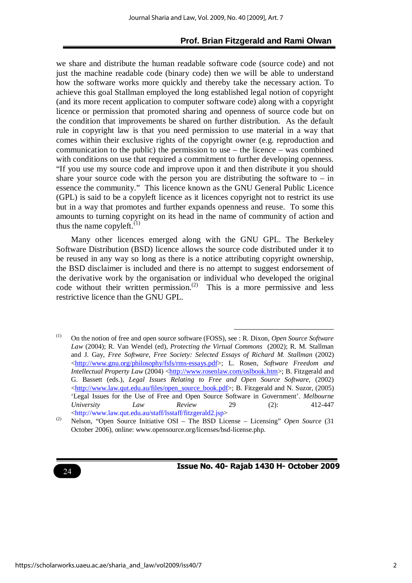we share and distribute the human readable software code (source code) and not just the machine readable code (binary code) then we will be able to understand how the software works more quickly and thereby take the necessary action. To achieve this goal Stallman employed the long established legal notion of copyright (and its more recent application to computer software code) along with a copyright licence or permission that promoted sharing and openness of source code but on the condition that improvements be shared on further distribution. As the default rule in copyright law is that you need permission to use material in a way that comes within their exclusive rights of the copyright owner (e.g. reproduction and communication to the public) the permission to use – the licence – was combined with conditions on use that required a commitment to further developing openness. "If you use my source code and improve upon it and then distribute it you should share your source code with the person you are distributing the software to  $-$  in essence the community." This licence known as the GNU General Public Licence (GPL) is said to be a copyleft licence as it licences copyright not to restrict its use but in a way that promotes and further expands openness and reuse. To some this amounts to turning copyright on its head in the name of community of action and thus the name copyleft. $^{(1)}$ 

Many other licences emerged along with the GNU GPL. The Berkeley Software Distribution (BSD) licence allows the source code distributed under it to be reused in any way so long as there is a notice attributing copyright ownership, the BSD disclaimer is included and there is no attempt to suggest endorsement of the derivative work by the organisation or individual who developed the original code without their written permission.<sup>(2)</sup> This is a more permissive and less restrictive licence than the GNU GPL.

Issue No. 40- Rajab 1430 H- October 2009

l

<sup>(1)</sup> On the notion of free and open source software (FOSS), see : R. Dixon, *Open Source Software Law* (2004); R. Van Wendel (ed), *Protecting the Virtual Commons* (2002); R. M. Stallman and J. Gay, *Free Software, Free Society: Selected Essays of Richard M. Stallman* (2002) <http://www.gnu.org/philosophy/fsfs/rms-essays.pdf>; L. Rosen, *Software Freedom and Intellectual Property Law* (2004) <http://www.rosenlaw.com/oslbook.htm>; B. Fitzgerald and G. Bassett (eds.), *Legal Issues Relating to Free and Open Source Software,* (2002) <http://www.law.qut.edu.au/files/open\_source\_book.pdf>; B. Fitzgerald and N. Suzor, (2005) 'Legal Issues for the Use of Free and Open Source Software in Government'. *Melbourne University Law Review* 29 (2): 412-447 <http://www.law.qut.edu.au/staff/lsstaff/fitzgerald2.jsp>

<sup>(2)</sup> Nelson, "Open Source Initiative OSI – The BSD License – Licensing" *Open Source* (31 October 2006), online: www.opensource.org/licenses/bsd-license.php.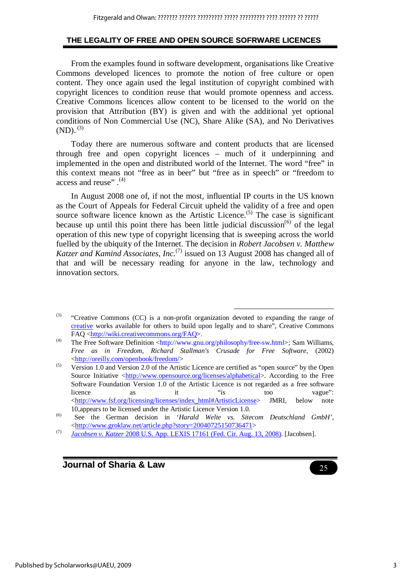From the examples found in software development, organisations like Creative Commons developed licences to promote the notion of free culture or open content. They once again used the legal institution of copyright combined with copyright licences to condition reuse that would promote openness and access. Creative Commons licences allow content to be licensed to the world on the provision that Attribution (BY) is given and with the additional yet optional conditions of Non Commercial Use (NC), Share Alike (SA), and No Derivatives  $(ND).^{(3)}$ 

Today there are numerous software and content products that are licensed through free and open copyright licences – much of it underpinning and implemented in the open and distributed world of the Internet. The word "free" in this context means not "free as in beer" but "free as in speech" or "freedom to access and reuse".<sup>(4)</sup>

In August 2008 one of, if not the most, influential IP courts in the US known as the Court of Appeals for Federal Circuit upheld the validity of a free and open source software licence known as the Artistic Licence.<sup>(5)</sup> The case is significant because up until this point there has been little judicial discussion<sup> $(6)$ </sup> of the legal operation of this new type of copyright licensing that is sweeping across the world fuelled by the ubiquity of the Internet. The decision in *Robert Jacobsen v. Matthew Katzer and Kamind Associates, Inc.*<sup>(7)</sup> issued on 13 August 2008 has changed all of that and will be necessary reading for anyone in the law, technology and innovation sectors.

l

## **Journal of Sharia & Law**

<sup>(3)</sup> "Creative Commons (CC) is a non-profit organization devoted to expanding the range of creative works available for others to build upon legally and to share", Creative Commons FAQ <http://wiki.creativecommons.org/FAQ>.

<sup>(4)</sup> The Free Software Definition <http://www.gnu.org/philosophy/free-sw.html>; Sam Williams, *Free as in Freedom, Richard Stallman's Crusade for Free Software*, (2002) <http://oreilly.com/openbook/freedom/>

<sup>(5)</sup> Version 1.0 and Version 2.0 of the Artistic Licence are certified as "open source" by the Open Source Initiative <http://www.opensource.org/licenses/alphabetical>. According to the Free Software Foundation Version 1.0 of the Artistic Licence is not regarded as a free software licence as it "is too vague": <http://www.fsf.org/licensing/licenses/index\_html#ArtisticLicense> JMRI, below note 10,appears to be licensed under the Artistic Licence Version 1.0.

<sup>(6)</sup> See the German decision in '*Harald Welte vs. Sitecom Deutschland GmbH'*, <http://www.groklaw.net/article.php?story=20040725150736471>

<sup>(7)</sup> *Jacobsen v. Katzer* 2008 U.S. App. LEXIS 17161 (Fed. Cir. Aug. 13, 2008). [Jacobsen].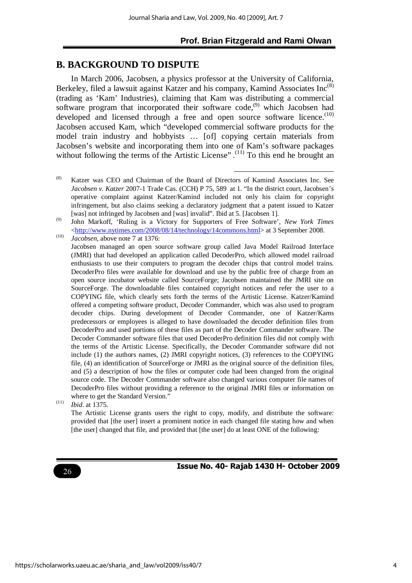## **B. BACKGROUND TO DISPUTE**

In March 2006, Jacobsen, a physics professor at the University of California, Berkeley, filed a lawsuit against Katzer and his company, Kamind Associates  $Inc^{(8)}$ (trading as 'Kam' Industries), claiming that Kam was distributing a commercial software program that incorporated their software code,<sup> $(9)$ </sup> which Jacobsen had developed and licensed through a free and open source software licence. $(10)$ Jacobsen accused Kam, which "developed commercial software products for the model train industry and hobbyists … [of] copying certain materials from Jacobsen's website and incorporating them into one of Kam's software packages without following the terms of the Artistic License".<sup>(11)</sup> To this end he brought an

l

(10) *Jacobsen*, above note 7 at 1376: Jacobsen managed an open source software group called Java Model Railroad Interface (JMRI) that had developed an application called DecoderPro, which allowed model railroad enthusiasts to use their computers to program the decoder chips that control model trains. DecoderPro files were available for download and use by the public free of charge from an open source incubator website called SourceForge; Jacobsen maintained the JMRI site on SourceForge. The downloadable files contained copyright notices and refer the user to a COPYING file, which clearly sets forth the terms of the Artistic License. Katzer/Kamind offered a competing software product, Decoder Commander, which was also used to program decoder chips. During development of Decoder Commander, one of Katzer/Kams predecessors or employees is alleged to have downloaded the decoder definition files from DecoderPro and used portions of these files as part of the Decoder Commander software. The Decoder Commander software files that used DecoderPro definition files did not comply with the terms of the Artistic License. Specifically, the Decoder Commander software did not include (1) the authors names, (2) JMRI copyright notices, (3) references to the COPYING file, (4) an identification of SourceForge or JMRI as the original source of the definition files,

and (5) a description of how the files or computer code had been changed from the original source code. The Decoder Commander software also changed various computer file names of DecoderPro files without providing a reference to the original JMRI files or information on where to get the Standard Version."

(11) *Ibid*. at 1375.

The Artistic License grants users the right to copy, modify, and distribute the software: provided that [the user] insert a prominent notice in each changed file stating how and when [the user] changed that file, and provided that [the user] do at least ONE of the following:

26

<sup>(8)</sup> Katzer was CEO and Chairman of the Board of Directors of Kamind Associates Inc. See *Jacobsen v. Katzer* 2007-1 Trade Cas. (CCH) P 75, 589 at 1. "In the district court, Jacobsen's operative complaint against Katzer/Kamind included not only his claim for copyright infringement, but also claims seeking a declaratory judgment that a patent issued to Katzer [was] not infringed by Jacobsen and [was] invalid". Ibid at 5. [Jacobsen 1].

<sup>(9)</sup> John Markoff, 'Ruling is a Victory for Supporters of Free Software', *New York Times* <http://www.nytimes.com/2008/08/14/technology/14commons.html> at 3 September 2008.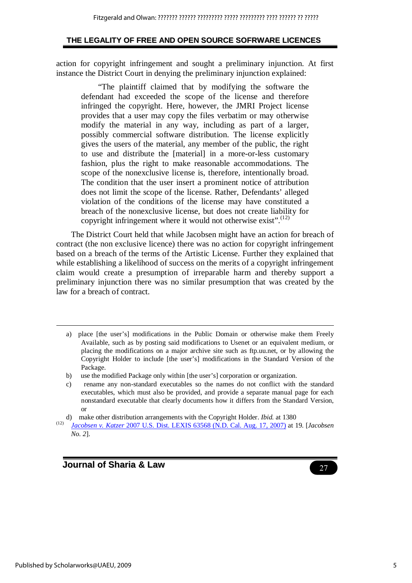action for copyright infringement and sought a preliminary injunction. At first instance the District Court in denying the preliminary injunction explained:

 "The plaintiff claimed that by modifying the software the defendant had exceeded the scope of the license and therefore infringed the copyright. Here, however, the JMRI Project license provides that a user may copy the files verbatim or may otherwise modify the material in any way, including as part of a larger, possibly commercial software distribution. The license explicitly gives the users of the material, any member of the public, the right to use and distribute the [material] in a more-or-less customary fashion, plus the right to make reasonable accommodations. The scope of the nonexclusive license is, therefore, intentionally broad. The condition that the user insert a prominent notice of attribution does not limit the scope of the license. Rather, Defendants' alleged violation of the conditions of the license may have constituted a breach of the nonexclusive license, but does not create liability for copyright infringement where it would not otherwise exist". $(12)$ 

The District Court held that while Jacobsen might have an action for breach of contract (the non exclusive licence) there was no action for copyright infringement based on a breach of the terms of the Artistic License. Further they explained that while establishing a likelihood of success on the merits of a copyright infringement claim would create a presumption of irreparable harm and thereby support a preliminary injunction there was no similar presumption that was created by the law for a breach of contract.

- a) place [the user's] modifications in the Public Domain or otherwise make them Freely Available, such as by posting said modifications to Usenet or an equivalent medium, or placing the modifications on a major archive site such as ftp.uu.net, or by allowing the Copyright Holder to include [the user's] modifications in the Standard Version of the Package.
- b) use the modified Package only within [the user's] corporation or organization.
- c) rename any non-standard executables so the names do not conflict with the standard executables, which must also be provided, and provide a separate manual page for each nonstandard executable that clearly documents how it differs from the Standard Version, or

d) make other distribution arrangements with the Copyright Holder. *Ibid.* at 1380

**Journal of Sharia & Law**

27

l

<sup>(12)</sup> *Jacobsen v. Katzer* 2007 U.S. Dist. LEXIS 63568 (N.D. Cal. Aug. 17, 2007) at 19. [*Jacobsen No. 2*].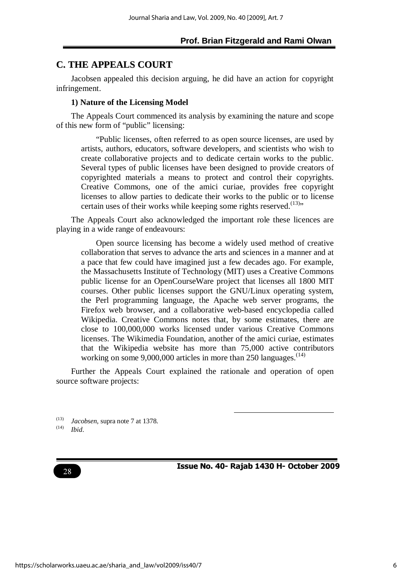## **C. THE APPEALS COURT**

Jacobsen appealed this decision arguing, he did have an action for copyright infringement.

#### **1) Nature of the Licensing Model**

The Appeals Court commenced its analysis by examining the nature and scope of this new form of "public" licensing:

"Public licenses, often referred to as open source licenses, are used by artists, authors, educators, software developers, and scientists who wish to create collaborative projects and to dedicate certain works to the public. Several types of public licenses have been designed to provide creators of copyrighted materials a means to protect and control their copyrights. Creative Commons, one of the amici curiae, provides free copyright licenses to allow parties to dedicate their works to the public or to license certain uses of their works while keeping some rights reserved. $^{(13)}$ "

The Appeals Court also acknowledged the important role these licences are playing in a wide range of endeavours:

Open source licensing has become a widely used method of creative collaboration that serves to advance the arts and sciences in a manner and at a pace that few could have imagined just a few decades ago. For example, the Massachusetts Institute of Technology (MIT) uses a Creative Commons public license for an OpenCourseWare project that licenses all 1800 MIT courses. Other public licenses support the GNU/Linux operating system, the Perl programming language, the Apache web server programs, the Firefox web browser, and a collaborative web-based encyclopedia called Wikipedia. Creative Commons notes that, by some estimates, there are close to 100,000,000 works licensed under various Creative Commons licenses. The Wikimedia Foundation, another of the amici curiae, estimates that the Wikipedia website has more than 75,000 active contributors working on some  $9,000,000$  articles in more than 250 languages.<sup>(14)</sup>

Further the Appeals Court explained the rationale and operation of open source software projects:

 $\frac{(13)}{(14)}$  *Jacobsen*, supra note 7 at 1378.

(14) *Ibid*.

28

Issue No. 40- Rajab 1430 H- October 2009

 $\overline{a}$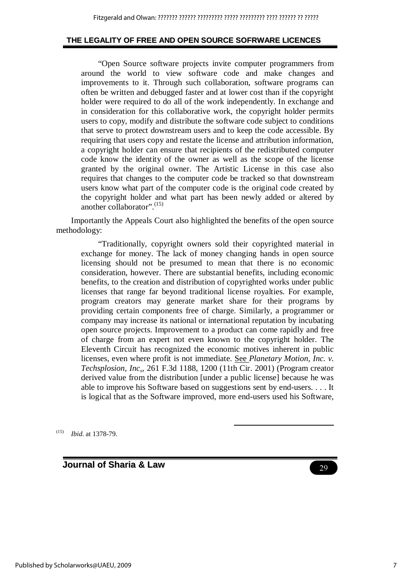"Open Source software projects invite computer programmers from around the world to view software code and make changes and improvements to it. Through such collaboration, software programs can often be written and debugged faster and at lower cost than if the copyright holder were required to do all of the work independently. In exchange and in consideration for this collaborative work, the copyright holder permits users to copy, modify and distribute the software code subject to conditions that serve to protect downstream users and to keep the code accessible. By requiring that users copy and restate the license and attribution information, a copyright holder can ensure that recipients of the redistributed computer code know the identity of the owner as well as the scope of the license granted by the original owner. The Artistic License in this case also requires that changes to the computer code be tracked so that downstream users know what part of the computer code is the original code created by the copyright holder and what part has been newly added or altered by another collaborator".<sup>(15)</sup>

Importantly the Appeals Court also highlighted the benefits of the open source methodology:

 "Traditionally, copyright owners sold their copyrighted material in exchange for money. The lack of money changing hands in open source licensing should not be presumed to mean that there is no economic consideration, however. There are substantial benefits, including economic benefits, to the creation and distribution of copyrighted works under public licenses that range far beyond traditional license royalties. For example, program creators may generate market share for their programs by providing certain components free of charge. Similarly, a programmer or company may increase its national or international reputation by incubating open source projects. Improvement to a product can come rapidly and free of charge from an expert not even known to the copyright holder. The Eleventh Circuit has recognized the economic motives inherent in public licenses, even where profit is not immediate. See *Planetary Motion, Inc. v. Techsplosion, Inc*., 261 F.3d 1188, 1200 (11th Cir. 2001) (Program creator derived value from the distribution [under a public license] because he was able to improve his Software based on suggestions sent by end-users. . . . It is logical that as the Software improved, more end-users used his Software,

l

(15) *Ibid.* at 1378-79.

## **Journal of Sharia & Law**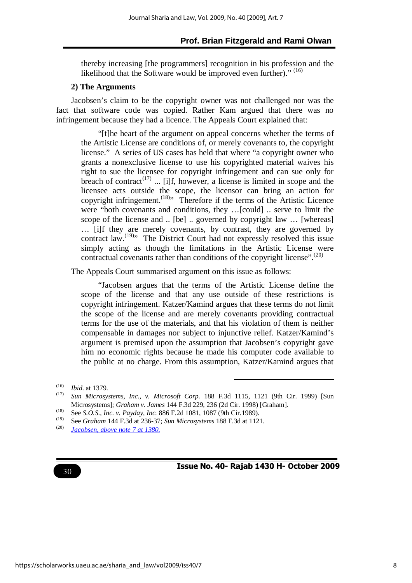thereby increasing [the programmers] recognition in his profession and the likelihood that the Software would be improved even further)." (16)

#### **2) The Arguments**

Jacobsen's claim to be the copyright owner was not challenged nor was the fact that software code was copied. Rather Kam argued that there was no infringement because they had a licence. The Appeals Court explained that:

 "[t]he heart of the argument on appeal concerns whether the terms of the Artistic License are conditions of, or merely covenants to, the copyright license." A series of US cases has held that where "a copyright owner who grants a nonexclusive license to use his copyrighted material waives his right to sue the licensee for copyright infringement and can sue only for breach of contract<sup> $(17)$ </sup> ... [i]f, however, a license is limited in scope and the licensee acts outside the scope, the licensor can bring an action for copyright infringement.<sup> $(18)$ </sup>" Therefore if the terms of the Artistic Licence were "both covenants and conditions, they …[could] .. serve to limit the scope of the license and .. [be] .. governed by copyright law … [whereas] … [i]f they are merely covenants, by contrast, they are governed by contract law.<sup>(19)</sup>" The District Court had not expressly resolved this issue simply acting as though the limitations in the Artistic License were contractual covenants rather than conditions of the copyright license". $^{(20)}$ 

The Appeals Court summarised argument on this issue as follows:

 "Jacobsen argues that the terms of the Artistic License define the scope of the license and that any use outside of these restrictions is copyright infringement. Katzer/Kamind argues that these terms do not limit the scope of the license and are merely covenants providing contractual terms for the use of the materials, and that his violation of them is neither compensable in damages nor subject to injunctive relief. Katzer/Kamind's argument is premised upon the assumption that Jacobsen's copyright gave him no economic rights because he made his computer code available to the public at no charge. From this assumption, Katzer/Kamind argues that

Issue No. 40- Rajab 1430 H- October 2009

l

 $\frac{(16)}{(17)}$  *Ibid.* at 1379.

<sup>(17)</sup> *Sun Microsystems, Inc., v. Microsoft Corp.* 188 F.3d 1115, 1121 (9th Cir. 1999) [Sun Microsystems]; *Graham v. James* 144 F.3d 229, 236 (2d Cir. 1998) [Graham].

<sup>(18)</sup> See *S.O.S., Inc. v. Payday, Inc.* 886 F.2d 1081, 1087 (9th Cir.1989).

<sup>(19)</sup> See *Graham* 144 F.3d at 236-37; *Sun Microsystems* 188 F.3d at 1121. (20)

*Jacobsen, above note 7 at 1380.*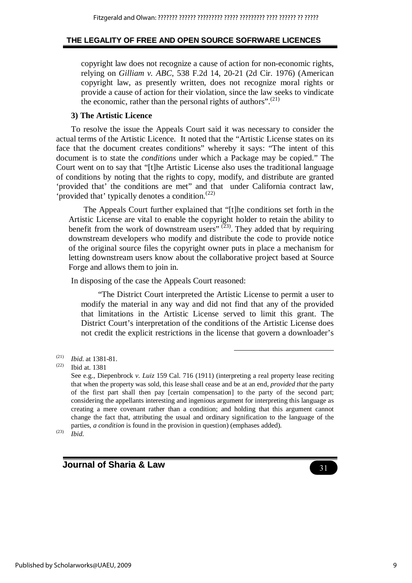copyright law does not recognize a cause of action for non-economic rights, relying on *Gilliam v. ABC*, 538 F.2d 14, 20-21 (2d Cir. 1976) (American copyright law, as presently written, does not recognize moral rights or provide a cause of action for their violation, since the law seeks to vindicate the economic, rather than the personal rights of authors". $^{(21)}$ 

#### **3) The Artistic Licence**

To resolve the issue the Appeals Court said it was necessary to consider the actual terms of the Artistic Licence. It noted that the "Artistic License states on its face that the document creates conditions" whereby it says: "The intent of this document is to state the *conditions* under which a Package may be copied." The Court went on to say that "[t]he Artistic License also uses the traditional language of conditions by noting that the rights to copy, modify, and distribute are granted 'provided that' the conditions are met" and that under California contract law, 'provided that' typically denotes a condition.<sup>(22)</sup>

The Appeals Court further explained that "[t]he conditions set forth in the Artistic License are vital to enable the copyright holder to retain the ability to benefit from the work of downstream users"<sup>( $\overline{23}$ )</sup>. They added that by requiring downstream developers who modify and distribute the code to provide notice of the original source files the copyright owner puts in place a mechanism for letting downstream users know about the collaborative project based at Source Forge and allows them to join in.

In disposing of the case the Appeals Court reasoned:

 "The District Court interpreted the Artistic License to permit a user to modify the material in any way and did not find that any of the provided that limitations in the Artistic License served to limit this grant. The District Court's interpretation of the conditions of the Artistic License does not credit the explicit restrictions in the license that govern a downloader's

l

## **Journal of Sharia & Law**



<sup>(21)</sup> *Ibid.* at 1381-81.<br>(22) **Ibid.** at 1381

Ibid at. 1381

See e.g., Diepenbrock *v. Luiz* 159 Cal. 716 (1911) (interpreting a real property lease reciting that when the property was sold, this lease shall cease and be at an end, *provided that* the party of the first part shall then pay [certain compensation] to the party of the second part; considering the appellants interesting and ingenious argument for interpreting this language as creating a mere covenant rather than a condition; and holding that this argument cannot change the fact that, attributing the usual and ordinary signification to the language of the parties, *a condition* is found in the provision in question) (emphases added). *Ibid.*

<sup>(23)</sup>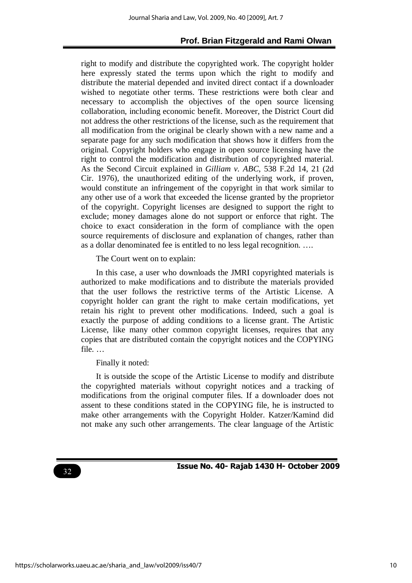right to modify and distribute the copyrighted work. The copyright holder here expressly stated the terms upon which the right to modify and distribute the material depended and invited direct contact if a downloader wished to negotiate other terms. These restrictions were both clear and necessary to accomplish the objectives of the open source licensing collaboration, including economic benefit. Moreover, the District Court did not address the other restrictions of the license, such as the requirement that all modification from the original be clearly shown with a new name and a separate page for any such modification that shows how it differs from the original. Copyright holders who engage in open source licensing have the right to control the modification and distribution of copyrighted material. As the Second Circuit explained in *Gilliam v. ABC*, 538 F.2d 14, 21 (2d Cir. 1976), the unauthorized editing of the underlying work, if proven, would constitute an infringement of the copyright in that work similar to any other use of a work that exceeded the license granted by the proprietor of the copyright. Copyright licenses are designed to support the right to exclude; money damages alone do not support or enforce that right. The choice to exact consideration in the form of compliance with the open source requirements of disclosure and explanation of changes, rather than as a dollar denominated fee is entitled to no less legal recognition. ….

The Court went on to explain:

In this case, a user who downloads the JMRI copyrighted materials is authorized to make modifications and to distribute the materials provided that the user follows the restrictive terms of the Artistic License. A copyright holder can grant the right to make certain modifications, yet retain his right to prevent other modifications. Indeed, such a goal is exactly the purpose of adding conditions to a license grant. The Artistic License, like many other common copyright licenses, requires that any copies that are distributed contain the copyright notices and the COPYING file. …

Finally it noted:

It is outside the scope of the Artistic License to modify and distribute the copyrighted materials without copyright notices and a tracking of modifications from the original computer files. If a downloader does not assent to these conditions stated in the COPYING file, he is instructed to make other arrangements with the Copyright Holder. Katzer/Kamind did not make any such other arrangements. The clear language of the Artistic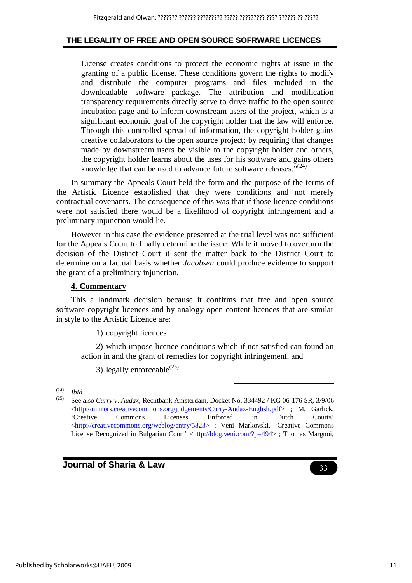License creates conditions to protect the economic rights at issue in the granting of a public license. These conditions govern the rights to modify and distribute the computer programs and files included in the downloadable software package. The attribution and modification transparency requirements directly serve to drive traffic to the open source incubation page and to inform downstream users of the project, which is a significant economic goal of the copyright holder that the law will enforce. Through this controlled spread of information, the copyright holder gains creative collaborators to the open source project; by requiring that changes made by downstream users be visible to the copyright holder and others, the copyright holder learns about the uses for his software and gains others knowledge that can be used to advance future software releases. $\cdot^{(24)}$ 

In summary the Appeals Court held the form and the purpose of the terms of the Artistic Licence established that they were conditions and not merely contractual covenants. The consequence of this was that if those licence conditions were not satisfied there would be a likelihood of copyright infringement and a preliminary injunction would lie.

However in this case the evidence presented at the trial level was not sufficient for the Appeals Court to finally determine the issue. While it moved to overturn the decision of the District Court it sent the matter back to the District Court to determine on a factual basis whether *Jacobsen* could produce evidence to support the grant of a preliminary injunction.

#### **4. Commentary**

This a landmark decision because it confirms that free and open source software copyright licences and by analogy open content licences that are similar in style to the Artistic Licence are:

1) copyright licences

2) which impose licence conditions which if not satisfied can found an action in and the grant of remedies for copyright infringement, and

l

3) legally enforceable $^{(25)}$ 

## **Journal of Sharia & Law**



 $\frac{(24)}{(25)}$  *Ibid.* 

<sup>(25)</sup> See also *Curry v. Audax*, Rechtbank Amsterdam, Docket No. 334492 / KG 06-176 SR, 3/9/06 <http://mirrors.creativecommons.org/judgements/Curry-Audax-English.pdf> ; M. Garlick, 'Creative Commons Licenses Enforced in Dutch Courts' <http://creativecommons.org/weblog/entry/5823> ; Veni Markovski, 'Creative Commons License Recognized in Bulgarian Court' <http://blog.veni.com/?p=494>; Thomas Margnoi,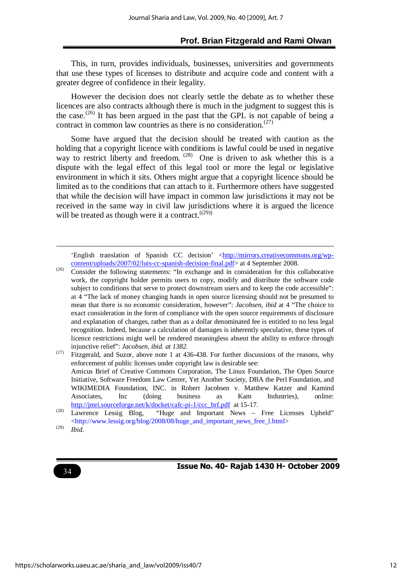This, in turn, provides individuals, businesses, universities and governments that use these types of licenses to distribute and acquire code and content with a greater degree of confidence in their legality.

However the decision does not clearly settle the debate as to whether these licences are also contracts although there is much in the judgment to suggest this is the case.<sup> $(26)$ </sup> It has been argued in the past that the GPL is not capable of being a contract in common law countries as there is no consideration.<sup>(27)</sup>

Some have argued that the decision should be treated with caution as the holding that a copyright licence with conditions is lawful could be used in negative way to restrict liberty and freedom.  $(28)$  One is driven to ask whether this is a dispute with the legal effect of this legal tool or more the legal or legislative environment in which it sits. Others might argue that a copyright licence should be limited as to the conditions that can attach to it. Furthermore others have suggested that while the decision will have impact in common law jurisdictions it may not be received in the same way in civil law jurisdictions where it is argued the licence will be treated as though were it a contract. $(29)$ )

l

<sup>&#</sup>x27;English translation of Spanish CC decision' <http://mirrors.creativecommons.org/wpcontent/uploads/2007/02/luis-cc-spanish-decision-final.pdf> at 4 September 2008.

 $\overline{\text{Consider the following statements: "In exchange and in consideration for this collaborative"}$ work, the copyright holder permits users to copy, modify and distribute the software code subject to conditions that serve to protect downstream users and to keep the code accessible": at 4 "The lack of money changing hands in open source licensing should not be presumed to mean that there is no economic consideration, however": *Jacobsen*, *ibid* at 4 "The choice to exact consideration in the form of compliance with the open source requirements of disclosure and explanation of changes, rather than as a dollar denominated fee is entitled to no less legal recognition. Indeed, because a calculation of damages is inherently speculative, these types of licence restrictions might well be rendered meaningless absent the ability to enforce through injunctive relief": *Jacobsen, ibid. at 1382.*

 $(27)$  Fitzgerald, and Suzor, above note 1 at 436-438. For further discussions of the reasons, why enforcement of public licenses under copyright law is desirable see: Amicus Brief of Creative Commons Corporation, The Linux Foundation, The Open Source Initiative, Software Freedom Law Center, Yet Another Society, DBA the Perl Foundation, and WIKIMEDIA Foundation, INC. in Robert Jacobsen v. Matthew Katzer and Kamind Associates, Inc (doing business as Kam Industries), online: http://jmri.sourceforge.net/k/docket/cafc-pi-1/ccc\_brf.pdf at 15-17.

<sup>(28)</sup> Lawrence Lessig Blog, "Huge and Important News – Free Licenses Upheld" <http://www.lessig.org/blog/2008/08/huge\_and\_important\_news\_free\_l.html>

<sup>(29)</sup> *Ibid.*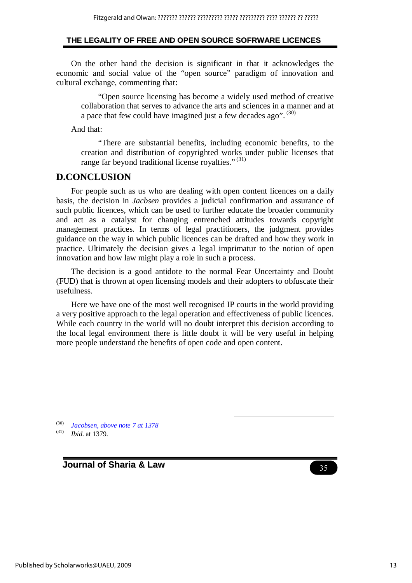On the other hand the decision is significant in that it acknowledges the economic and social value of the "open source" paradigm of innovation and cultural exchange, commenting that:

 "Open source licensing has become a widely used method of creative collaboration that serves to advance the arts and sciences in a manner and at a pace that few could have imagined just a few decades ago".  $(30)$ 

And that:

 "There are substantial benefits, including economic benefits, to the creation and distribution of copyrighted works under public licenses that range far beyond traditional license royalties." (31)

## **D.CONCLUSION**

For people such as us who are dealing with open content licences on a daily basis, the decision in *Jacbsen* provides a judicial confirmation and assurance of such public licences, which can be used to further educate the broader community and act as a catalyst for changing entrenched attitudes towards copyright management practices. In terms of legal practitioners, the judgment provides guidance on the way in which public licences can be drafted and how they work in practice. Ultimately the decision gives a legal imprimatur to the notion of open innovation and how law might play a role in such a process.

The decision is a good antidote to the normal Fear Uncertainty and Doubt (FUD) that is thrown at open licensing models and their adopters to obfuscate their usefulness.

Here we have one of the most well recognised IP courts in the world providing a very positive approach to the legal operation and effectiveness of public licences. While each country in the world will no doubt interpret this decision according to the local legal environment there is little doubt it will be very useful in helping more people understand the benefits of open code and open content.

l

(30) *Jacobsen, above note 7 at 1378* 

(31) *Ibid.* at 1379.

**Journal of Sharia & Law**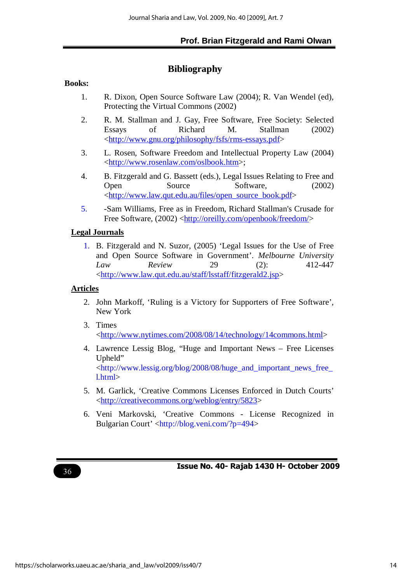## **Bibliography**

## **Books:**

- 1. R. Dixon, Open Source Software Law (2004); R. Van Wendel (ed), Protecting the Virtual Commons (2002)
- 2. R. M. Stallman and J. Gay, Free Software, Free Society: Selected Essays of Richard M. Stallman (2002) <http://www.gnu.org/philosophy/fsfs/rms-essays.pdf>
- 3. L. Rosen, Software Freedom and Intellectual Property Law (2004) <http://www.rosenlaw.com/oslbook.htm>;
- 4. B. Fitzgerald and G. Bassett (eds.), Legal Issues Relating to Free and Open Source Software, (2002) <http://www.law.qut.edu.au/files/open\_source\_book.pdf>
- 5. -Sam Williams, Free as in Freedom, Richard Stallman's Crusade for Free Software, (2002) <http://oreilly.com/openbook/freedom/>

## **Legal Journals**

1. B. Fitzgerald and N. Suzor, (2005) 'Legal Issues for the Use of Free and Open Source Software in Government'. *Melbourne University Law Review* 29 (2): 412-447 <http://www.law.qut.edu.au/staff/lsstaff/fitzgerald2.jsp>

## **Articles**

- 2. John Markoff, 'Ruling is a Victory for Supporters of Free Software', New York
- 3. Times <http://www.nytimes.com/2008/08/14/technology/14commons.html>
- 4. Lawrence Lessig Blog, "Huge and Important News Free Licenses Upheld" <http://www.lessig.org/blog/2008/08/huge\_and\_important\_news\_free\_ l.html>
- 5. M. Garlick, 'Creative Commons Licenses Enforced in Dutch Courts' <http://creativecommons.org/weblog/entry/5823>
- 6. Veni Markovski, 'Creative Commons License Recognized in Bulgarian Court' <http://blog.veni.com/?p=494>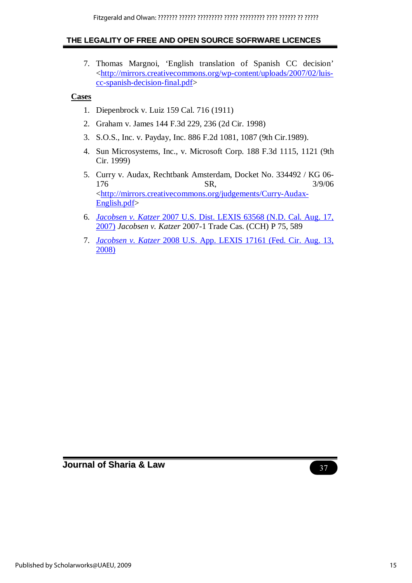7. Thomas Margnoi, 'English translation of Spanish CC decision' <http://mirrors.creativecommons.org/wp-content/uploads/2007/02/luiscc-spanish-decision-final.pdf>

## **Cases**

- 1. Diepenbrock v. Luiz 159 Cal. 716 (1911)
- 2. Graham v. James 144 F.3d 229, 236 (2d Cir. 1998)
- 3. S.O.S., Inc. v. Payday, Inc. 886 F.2d 1081, 1087 (9th Cir.1989).
- 4. Sun Microsystems, Inc., v. Microsoft Corp. 188 F.3d 1115, 1121 (9th Cir. 1999)
- 5. Curry v. Audax, Rechtbank Amsterdam, Docket No. 334492 / KG 06- 176 SR, 3/9/06 <http://mirrors.creativecommons.org/judgements/Curry-Audax-English.pdf>
- 6. *Jacobsen v. Katzer* 2007 U.S. Dist. LEXIS 63568 (N.D. Cal. Aug. 17, 2007) *Jacobsen v. Katzer* 2007-1 Trade Cas. (CCH) P 75, 589
- 7. *Jacobsen v. Katzer* 2008 U.S. App. LEXIS 17161 (Fed. Cir. Aug. 13, 2008)

**Journal of Sharia & Law**